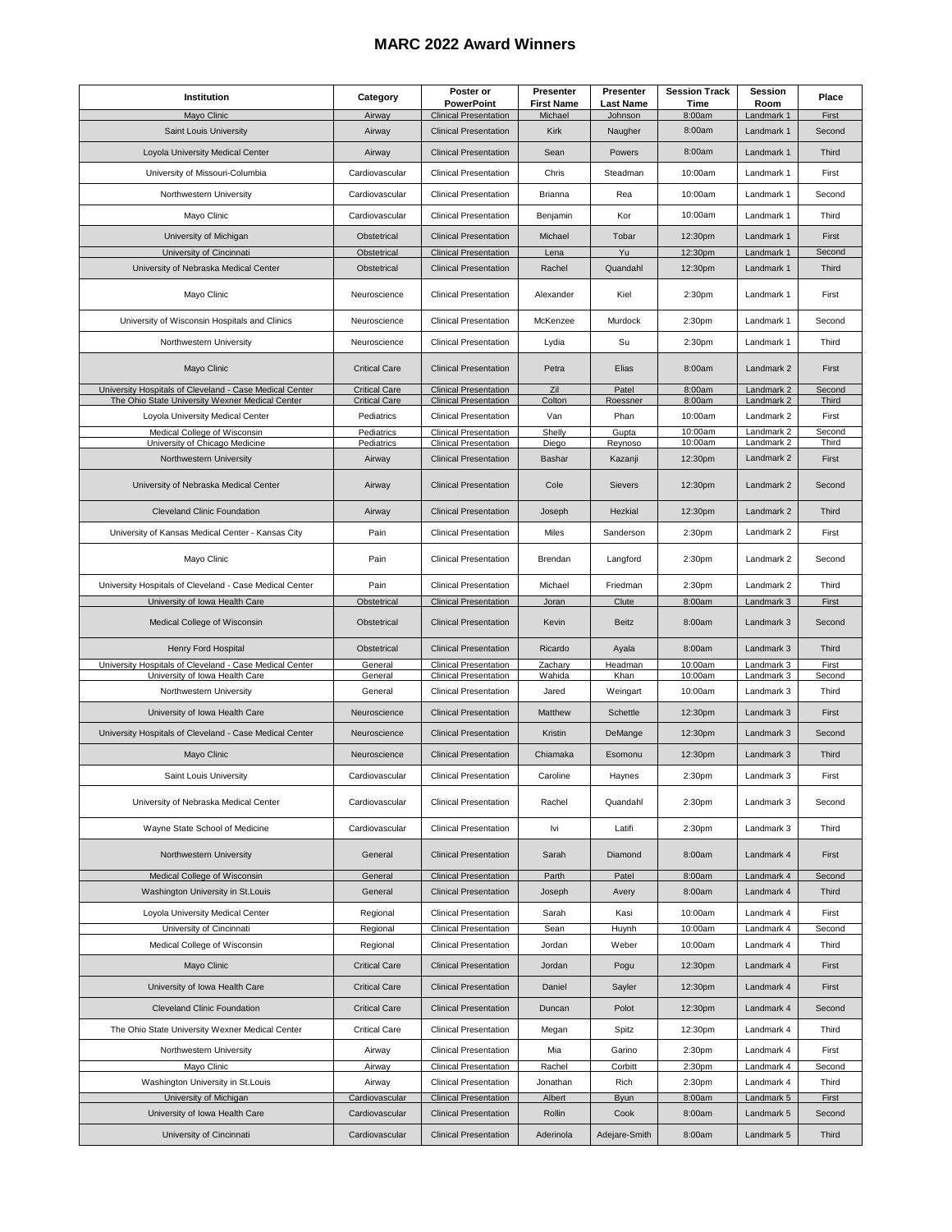## **MARC 2022 Award Winners**

| Institution                                                                                                | Category                                     | Poster or<br><b>PowerPoint</b>                               | <b>Presenter</b><br><b>First Name</b> | Presenter<br><b>Last Name</b> | <b>Session Track</b><br>Time     | Session<br>Room          | Place           |
|------------------------------------------------------------------------------------------------------------|----------------------------------------------|--------------------------------------------------------------|---------------------------------------|-------------------------------|----------------------------------|--------------------------|-----------------|
| Mayo Clinic                                                                                                | Airway                                       | <b>Clinical Presentation</b>                                 | Michael                               | Johnson                       | 8:00am                           | Landmark 1               | First           |
| Saint Louis University                                                                                     | Airway                                       | <b>Clinical Presentation</b>                                 | Kirk                                  | Naugher                       | 8:00am                           | Landmark 1               | Second          |
| Loyola University Medical Center                                                                           | Airway                                       | <b>Clinical Presentation</b>                                 | Sean                                  | Powers                        | 8:00am                           | Landmark 1               | Third           |
| University of Missouri-Columbia                                                                            | Cardiovascular                               | <b>Clinical Presentation</b>                                 | Chris                                 | Steadman                      | 10:00am                          | Landmark 1               | First           |
| Northwestern University                                                                                    | Cardiovascular                               | <b>Clinical Presentation</b>                                 | <b>Brianna</b>                        | Rea                           | 10:00am                          | Landmark 1               | Second          |
| Mayo Clinic                                                                                                | Cardiovascular                               | <b>Clinical Presentation</b>                                 | Benjamin                              | Kor                           | 10:00am                          | Landmark 1               | Third           |
| University of Michigan<br>University of Cincinnati                                                         | Obstetrical<br>Obstetrical                   | <b>Clinical Presentation</b><br><b>Clinical Presentation</b> | Michael<br>Lena                       | Tobar<br>Yu                   | 12:30pm<br>12:30pm               | Landmark 1<br>Landmark 1 | First<br>Second |
| University of Nebraska Medical Center                                                                      | Obstetrical                                  | <b>Clinical Presentation</b>                                 | Rachel                                | Quandahl                      | 12:30pm                          | Landmark 1               | Third           |
| Mayo Clinic                                                                                                | Neuroscience                                 | <b>Clinical Presentation</b>                                 | Alexander                             | Kiel                          | 2:30pm                           | Landmark 1               | First           |
| University of Wisconsin Hospitals and Clinics                                                              | Neuroscience                                 | <b>Clinical Presentation</b>                                 | McKenzee                              | Murdock                       | 2:30pm                           | Landmark 1               | Second          |
| Northwestern University                                                                                    | Neuroscience                                 | <b>Clinical Presentation</b>                                 | Lydia                                 | Su                            | 2:30pm                           | Landmark 1               | Third           |
| Mayo Clinic                                                                                                | <b>Critical Care</b>                         | <b>Clinical Presentation</b>                                 | Petra                                 | Elias                         | 8:00am                           | Landmark 2               | First           |
| University Hospitals of Cleveland - Case Medical Center<br>The Ohio State University Wexner Medical Center | <b>Critical Care</b><br><b>Critical Care</b> | <b>Clinical Presentation</b><br><b>Clinical Presentation</b> | Zil<br>Colton                         | Patel<br>Roessner             | 8:00am<br>8:00am                 | Landmark 2<br>Landmark 2 | Second<br>Third |
| Loyola University Medical Center                                                                           | Pediatrics                                   | <b>Clinical Presentation</b>                                 | Van                                   | Phan                          | 10:00am                          | Landmark 2               | First           |
| Medical College of Wisconsin                                                                               | Pediatrics                                   | <b>Clinical Presentation</b>                                 | Shelly                                | Gupta                         | $\overline{10}$ :00am<br>10:00am | Landmark 2               | Second          |
| University of Chicago Medicine<br>Northwestern University                                                  | Pediatrics<br>Airway                         | <b>Clinical Presentation</b><br><b>Clinical Presentation</b> | Diego<br>Bashar                       | Reynoso<br>Kazanji            | 12:30pm                          | Landmark 2<br>Landmark 2 | Third<br>First  |
|                                                                                                            |                                              |                                                              |                                       |                               |                                  |                          |                 |
| University of Nebraska Medical Center                                                                      | Airway                                       | <b>Clinical Presentation</b>                                 | Cole                                  | Sievers                       | 12:30pm                          | Landmark 2               | Second          |
| <b>Cleveland Clinic Foundation</b>                                                                         | Airway                                       | <b>Clinical Presentation</b>                                 | Joseph                                | Hezkial                       | 12:30pm                          | Landmark 2               | Third           |
| University of Kansas Medical Center - Kansas City                                                          | Pain                                         | <b>Clinical Presentation</b>                                 | Miles                                 | Sanderson                     | 2:30pm                           | Landmark 2               | First           |
| Mayo Clinic                                                                                                | Pain                                         | <b>Clinical Presentation</b>                                 | Brendan                               | Langford                      | 2:30pm                           | Landmark 2               | Second          |
| University Hospitals of Cleveland - Case Medical Center                                                    | Pain                                         | <b>Clinical Presentation</b>                                 | Michael                               | Friedman                      | 2:30 <sub>pm</sub>               | Landmark 2               | Third           |
| University of Iowa Health Care                                                                             | Obstetrical                                  | <b>Clinical Presentation</b>                                 | Joran                                 | Clute                         | 8:00am                           | Landmark 3               | First           |
| Medical College of Wisconsin                                                                               | Obstetrical                                  | <b>Clinical Presentation</b>                                 | Kevin                                 | <b>Beitz</b>                  | 8:00am                           | Landmark 3               | Second          |
| Henry Ford Hospital                                                                                        | Obstetrical                                  | <b>Clinical Presentation</b>                                 | Ricardo                               | Ayala                         | 8:00am                           | Landmark 3               | Third           |
| University Hospitals of Cleveland - Case Medical Center<br>University of Iowa Health Care                  | General<br>General                           | <b>Clinical Presentation</b><br><b>Clinical Presentation</b> | Zachary<br>Wahida                     | Headman<br>Khan               | 10:00am<br>10:00am               | Landmark 3<br>Landmark 3 | First<br>Second |
| Northwestern University                                                                                    | General                                      | <b>Clinical Presentation</b>                                 | Jared                                 | Weingart                      | 10:00am                          | Landmark 3               | Third           |
| University of Iowa Health Care                                                                             | Neuroscience                                 | <b>Clinical Presentation</b>                                 | Matthew                               | Schettle                      | 12:30pm                          | Landmark 3               | First           |
| University Hospitals of Cleveland - Case Medical Center                                                    | Neuroscience                                 | <b>Clinical Presentation</b>                                 | Kristin                               | DeMange                       | 12:30pm                          | Landmark 3               | Second          |
| Mayo Clinic                                                                                                | Neuroscience                                 | <b>Clinical Presentation</b>                                 | Chiamaka                              | Esomonu                       | 12:30pm                          | Landmark 3               | Third           |
| Saint Louis University                                                                                     | Cardiovascular                               | <b>Clinical Presentation</b>                                 | Caroline                              | Haynes                        | 2:30pm                           | Landmark 3               | First           |
| University of Nebraska Medical Center                                                                      | Cardiovascular                               | <b>Clinical Presentation</b>                                 | Rachel                                | Quandahl                      | 2:30pm                           | Landmark 3               | Second          |
| Wavne State School of Medicine                                                                             | Cardiovascular                               | <b>Clinical Presentation</b>                                 | lvi                                   | Latifi                        | 2:30pm                           | Landmark 3               | Third           |
| Northwestern University                                                                                    | General                                      | <b>Clinical Presentation</b>                                 | Sarah                                 | Diamond                       | 8:00am                           | Landmark 4               | First           |
| Medical College of Wisconsin<br>Washington University in St.Louis                                          | General<br>General                           | <b>Clinical Presentation</b><br><b>Clinical Presentation</b> | Parth<br>Joseph                       | Patel<br>Avery                | 8:00am<br>8:00am                 | Landmark 4<br>Landmark 4 | Second<br>Third |
|                                                                                                            |                                              |                                                              |                                       |                               |                                  |                          |                 |
| Loyola University Medical Center                                                                           | Regional                                     | <b>Clinical Presentation</b>                                 | Sarah                                 | Kasi                          | 10:00am                          | Landmark 4               | First           |
| University of Cincinnati<br>Medical College of Wisconsin                                                   | Regional                                     | <b>Clinical Presentation</b>                                 | Sean                                  | Huynh                         | 10:00am                          | Landmark 4               | Second<br>Third |
| Mayo Clinic                                                                                                | Regional<br><b>Critical Care</b>             | <b>Clinical Presentation</b><br><b>Clinical Presentation</b> | Jordan<br>Jordan                      | Weber<br>Pogu                 | 10:00am<br>12:30pm               | Landmark 4<br>Landmark 4 | First           |
|                                                                                                            |                                              |                                                              |                                       |                               |                                  |                          |                 |
| University of Iowa Health Care<br><b>Cleveland Clinic Foundation</b>                                       | <b>Critical Care</b><br><b>Critical Care</b> | <b>Clinical Presentation</b><br><b>Clinical Presentation</b> | Daniel<br>Duncan                      | Sayler<br>Polot               | 12:30pm<br>12:30pm               | Landmark 4<br>Landmark 4 | First<br>Second |
| The Ohio State University Wexner Medical Center                                                            | <b>Critical Care</b>                         | <b>Clinical Presentation</b>                                 | Megan                                 | Spitz                         | 12:30pm                          | Landmark 4               | Third           |
| Northwestern University                                                                                    | Airway                                       | <b>Clinical Presentation</b>                                 | Mia                                   | Garino                        | 2:30pm                           | Landmark 4               | First           |
| Mayo Clinic                                                                                                | Airway                                       | <b>Clinical Presentation</b>                                 | Rachel                                | Corbitt                       | 2:30pm                           | Landmark 4               | Second          |
| Washington University in St.Louis                                                                          | Airway                                       | <b>Clinical Presentation</b>                                 | Jonathan                              | Rich                          | 2:30pm                           | Landmark 4               | Third           |
| University of Michigan                                                                                     | Cardiovascular                               | <b>Clinical Presentation</b>                                 | Albert                                | <b>Byun</b>                   | 8:00am                           | Landmark 5               | First           |
| University of Iowa Health Care                                                                             | Cardiovascular                               | <b>Clinical Presentation</b>                                 | Rollin                                | Cook                          | 8:00am                           | Landmark 5               | Second          |
| University of Cincinnati                                                                                   | Cardiovascular                               | <b>Clinical Presentation</b>                                 | Aderinola                             | Adejare-Smith                 | 8:00am                           | Landmark 5               | Third           |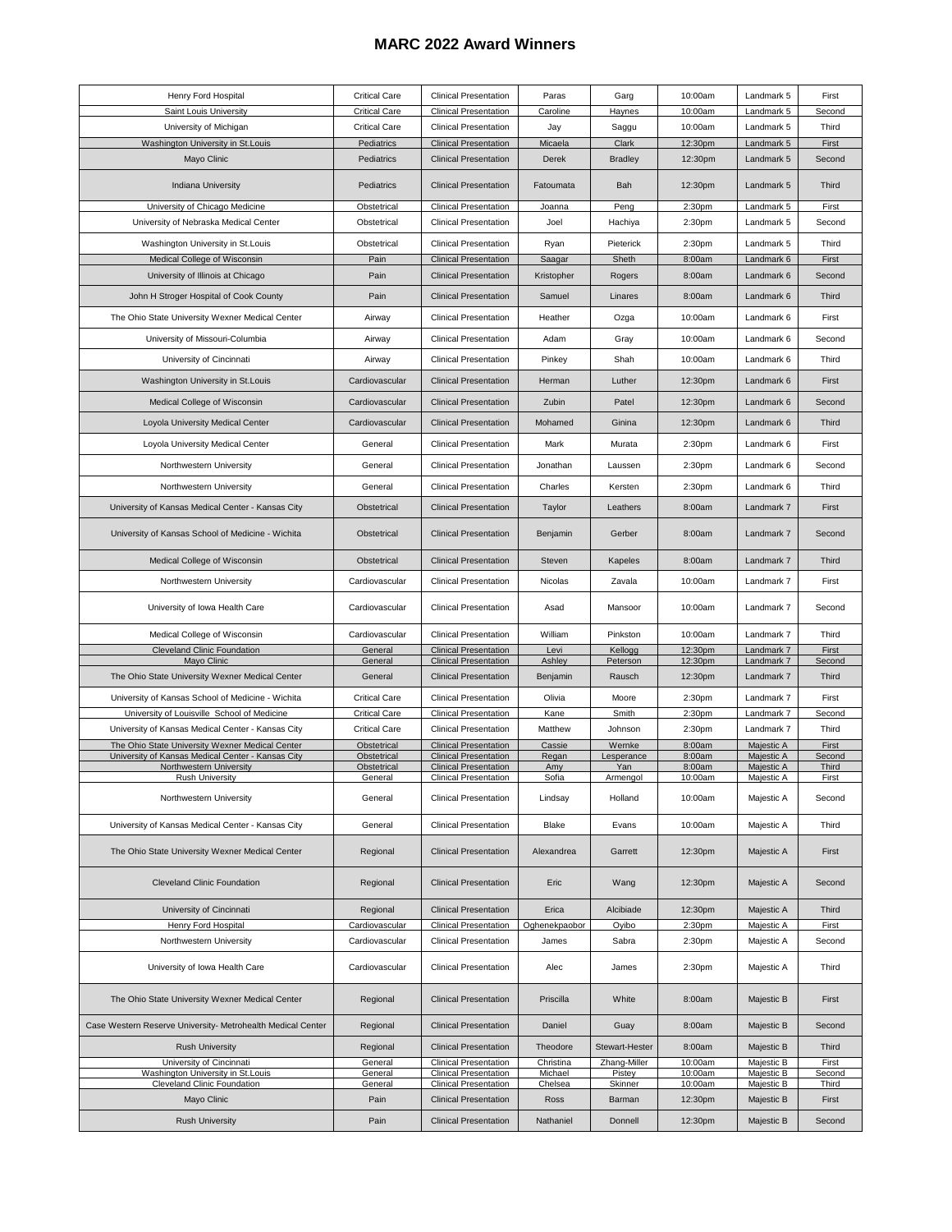## **MARC 2022 Award Winners**

| Henry Ford Hospital                                                                                  | <b>Critical Care</b>       | <b>Clinical Presentation</b>                                 | Paras                | Garg                   | 10:00am            | Landmark 5               | First           |
|------------------------------------------------------------------------------------------------------|----------------------------|--------------------------------------------------------------|----------------------|------------------------|--------------------|--------------------------|-----------------|
| Saint Louis University                                                                               | <b>Critical Care</b>       | <b>Clinical Presentation</b>                                 | Caroline             | Haynes                 | 10:00am            | Landmark 5               | Second          |
| University of Michigan                                                                               | <b>Critical Care</b>       | <b>Clinical Presentation</b>                                 | Jay                  | Saggu                  | 10:00am            | Landmark 5               | Third           |
| Washington University in St.Louis                                                                    | Pediatrics                 | <b>Clinical Presentation</b>                                 | Micaela              | Clark                  | 12:30pm            | Landmark 5               | First           |
| Mayo Clinic                                                                                          | Pediatrics                 | <b>Clinical Presentation</b>                                 | Derek                | <b>Bradley</b>         | 12:30pm            | Landmark 5               | Second          |
| <b>Indiana University</b>                                                                            | Pediatrics                 | <b>Clinical Presentation</b>                                 | Fatoumata            | Bah                    | 12:30pm            | Landmark 5               | Third           |
| University of Chicago Medicine                                                                       | Obstetrical                | <b>Clinical Presentation</b>                                 | Joanna               | Peng                   | 2:30pm             | Landmark 5               | First           |
| University of Nebraska Medical Center                                                                | Obstetrical                | <b>Clinical Presentation</b>                                 | Joel                 | Hachiya                | 2:30pm             | Landmark 5               | Second          |
| Washington University in St.Louis                                                                    | Obstetrical                | <b>Clinical Presentation</b>                                 | Ryan                 | Pieterick              | 2:30pm             | Landmark 5               | Third           |
| Medical College of Wisconsin<br>University of Illinois at Chicago                                    | Pain<br>Pain               | <b>Clinical Presentation</b><br><b>Clinical Presentation</b> | Saagar<br>Kristopher | Sheth<br>Rogers        | 8:00am<br>8:00am   | Landmark 6<br>Landmark 6 | First<br>Second |
|                                                                                                      |                            |                                                              |                      |                        |                    |                          |                 |
| John H Stroger Hospital of Cook County                                                               | Pain                       | <b>Clinical Presentation</b>                                 | Samuel               | Linares                | 8:00am             | Landmark 6               | Third           |
| The Ohio State University Wexner Medical Center                                                      | Airway                     | <b>Clinical Presentation</b>                                 | Heather              | Ozga                   | 10:00am            | Landmark 6               | First           |
| University of Missouri-Columbia                                                                      | Airway                     | <b>Clinical Presentation</b>                                 | Adam                 | Gray                   | 10:00am            | Landmark 6               | Second          |
| University of Cincinnati                                                                             | Airway                     | <b>Clinical Presentation</b>                                 | Pinkey               | Shah                   | 10:00am            | Landmark 6               | Third           |
| Washington University in St.Louis                                                                    | Cardiovascular             | <b>Clinical Presentation</b>                                 | Herman               | Luther                 | 12:30pm            | Landmark 6               | First           |
| Medical College of Wisconsin                                                                         | Cardiovascular             | <b>Clinical Presentation</b>                                 | Zubin                | Patel                  | 12:30pm            | Landmark 6               | Second          |
| Loyola University Medical Center                                                                     | Cardiovascular             | <b>Clinical Presentation</b>                                 | Mohamed              | Ginina                 | 12:30pm            | Landmark 6               | Third           |
| Loyola University Medical Center                                                                     | General                    | <b>Clinical Presentation</b>                                 | Mark                 | Murata                 | 2:30pm             | Landmark 6               | First           |
| Northwestern University                                                                              | General                    | <b>Clinical Presentation</b>                                 | Jonathan             | Laussen                | 2:30pm             | Landmark 6               | Second          |
| Northwestern University                                                                              | General                    | <b>Clinical Presentation</b>                                 | Charles              | Kersten                | 2:30pm             | Landmark 6               | Third           |
| University of Kansas Medical Center - Kansas City                                                    | Obstetrical                | <b>Clinical Presentation</b>                                 | Taylor               | Leathers               | 8:00am             | Landmark 7               | First           |
| University of Kansas School of Medicine - Wichita                                                    | Obstetrical                | <b>Clinical Presentation</b>                                 | Benjamin             | Gerber                 | 8:00am             | Landmark 7               | Second          |
| Medical College of Wisconsin                                                                         | Obstetrical                | <b>Clinical Presentation</b>                                 | Steven               | Kapeles                | 8:00am             | Landmark 7               | Third           |
| Northwestern University                                                                              | Cardiovascular             | <b>Clinical Presentation</b>                                 | Nicolas              | Zavala                 | 10:00am            | Landmark 7               | First           |
| University of Iowa Health Care                                                                       | Cardiovascular             | <b>Clinical Presentation</b>                                 | Asad                 | Mansoor                | 10:00am            | Landmark 7               | Second          |
| Medical College of Wisconsin                                                                         | Cardiovascular             | <b>Clinical Presentation</b>                                 | William              | Pinkston               | 10:00am            | Landmark 7               | Third           |
| Cleveland Clinic Foundation                                                                          | General                    | <b>Clinical Presentation</b>                                 | Levi                 | Kellogg                | 12:30pm            | Landmark 7               | First           |
| Mayo Clinic                                                                                          | General                    | <b>Clinical Presentation</b>                                 | Ashley               | Peterson               | 12:30pm            | Landmark 7               | Second          |
| The Ohio State University Wexner Medical Center                                                      | General                    | <b>Clinical Presentation</b>                                 | Benjamin             | Rausch                 | 12:30pm            | Landmark 7               | Third           |
| University of Kansas School of Medicine - Wichita                                                    | <b>Critical Care</b>       | <b>Clinical Presentation</b>                                 | Olivia               | Moore                  | 2:30pm             | Landmark 7               | First           |
| University of Louisville School of Medicine                                                          | <b>Critical Care</b>       | <b>Clinical Presentation</b>                                 | Kane                 | Smith                  | 2:30pm             | Landmark 7               | Second          |
| University of Kansas Medical Center - Kansas City                                                    | <b>Critical Care</b>       | <b>Clinical Presentation</b>                                 | Matthew              | Johnson                | 2:30pm             | Landmark 7               | Third           |
| The Ohio State University Wexner Medical Center<br>University of Kansas Medical Center - Kansas City | Obstetrical<br>Obstetrical | <b>Clinical Presentation</b><br><b>Clinical Presentation</b> | Cassie<br>Regan      | Wernke<br>Lesperance   | 8:00am<br>8:00am   | Majestic A<br>Majestic A | First<br>Second |
| Northwestern University                                                                              | Obstetrical                | <b>Clinical Presentation</b>                                 | Amy                  | Yan                    | 8:00am             | Majestic A               | Third           |
| <b>Rush University</b>                                                                               | General                    | <b>Clinical Presentation</b>                                 | Sofia                | Armengol               | 10:00am            | Majestic A               | First           |
| Northwestern University                                                                              | General                    | <b>Clinical Presentation</b>                                 | Lindsay              | Holland                | 10:00am            | Majestic A               | Second          |
| University of Kansas Medical Center - Kansas City                                                    | General                    | <b>Clinical Presentation</b>                                 | Blake                | Evans                  | 10:00am            | Majestic A               | Third           |
| The Ohio State University Wexner Medical Center                                                      | Regional                   | <b>Clinical Presentation</b>                                 | Alexandrea           | Garrett                | 12:30pm            | Majestic A               | First           |
| Cleveland Clinic Foundation                                                                          | Regional                   | <b>Clinical Presentation</b>                                 | Eric                 | Wang                   | 12:30pm            | Majestic A               | Second          |
| University of Cincinnati                                                                             | Regional                   | <b>Clinical Presentation</b>                                 | Erica                | Alcibiade              | 12:30pm            | Majestic A               | Third           |
| Henry Ford Hospital                                                                                  | Cardiovascular             | <b>Clinical Presentation</b>                                 | Oghenekpaobor        | Oyibo                  | 2:30pm             | Majestic A               | First           |
| Northwestern University                                                                              | Cardiovascular             | <b>Clinical Presentation</b>                                 | James                | Sabra                  | 2:30pm             | Majestic A               | Second          |
| University of Iowa Health Care                                                                       | Cardiovascular             | <b>Clinical Presentation</b>                                 | Alec                 | James                  | 2:30pm             | Majestic A               | Third           |
| The Ohio State University Wexner Medical Center                                                      | Regional                   | <b>Clinical Presentation</b>                                 | Priscilla            | White                  | 8:00am             | Majestic B               | First           |
| Case Western Reserve University- Metrohealth Medical Center                                          | Regional                   | <b>Clinical Presentation</b>                                 | Daniel               | Guay                   | 8:00am             | Majestic B               | Second          |
| <b>Rush University</b>                                                                               | Regional                   | <b>Clinical Presentation</b>                                 | Theodore             | Stewart-Hester         | 8:00am             | Majestic B               | Third           |
| University of Cincinnati<br>Washington University in St.Louis                                        | General<br>General         | <b>Clinical Presentation</b><br><b>Clinical Presentation</b> | Christina<br>Michael | Zhang-Miller<br>Pistey | 10:00am<br>10:00am | Majestic B<br>Majestic B | First<br>Second |
| Cleveland Clinic Foundation                                                                          | General                    | <b>Clinical Presentation</b>                                 | Chelsea              | Skinner                | 10:00am            | Majestic B               | Third           |
| Mayo Clinic                                                                                          | Pain                       | <b>Clinical Presentation</b>                                 | Ross                 | Barman                 | 12:30pm            | Majestic B               | First           |
| <b>Rush University</b>                                                                               | Pain                       | <b>Clinical Presentation</b>                                 | Nathaniel            | Donnell                | 12:30pm            | Majestic B               | Second          |